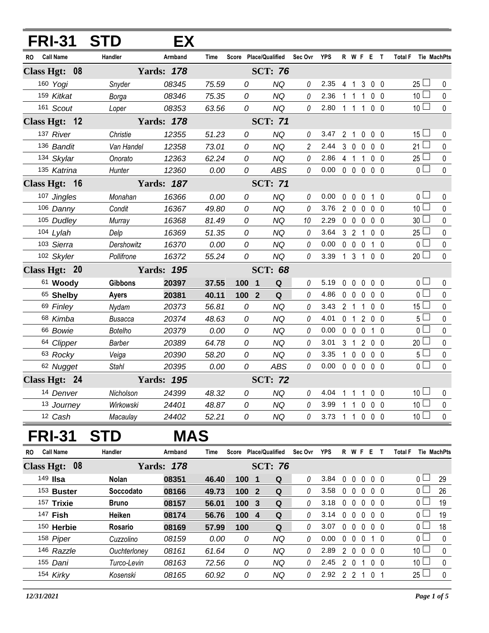|               | <b>FRI-31</b>    | <b>STD</b>     | EX.               |       |       |                       |                |                |             |                                 |                |                   |                 |              |
|---------------|------------------|----------------|-------------------|-------|-------|-----------------------|----------------|----------------|-------------|---------------------------------|----------------|-------------------|-----------------|--------------|
| RO.           | <b>Call Name</b> | Handler        | Armband           | Time  |       | Score Place/Qualified | Sec Ovr        | YPS            |             | R W F E T                       |                |                   | <b>Total F</b>  | Tie MachPts  |
| Class Hgt: 08 |                  |                | <b>Yards: 178</b> |       |       | <b>SCT: 76</b>        |                |                |             |                                 |                |                   |                 |              |
|               | 160 Yogi         | Snyder         | 08345             | 75.59 | 0     | <b>NQ</b>             | $\theta$       | 2.35           |             | 4 1                             |                | 300               | $25 -$          | 0            |
|               | 159 Kitkat       | Borga          | 08346             | 75.35 | 0     | <b>NQ</b>             | $\theta$       | 2.36           |             | 1 1                             | $\mathbf 1$    | 0 <sub>0</sub>    | 10 <sup>1</sup> | 0            |
|               | 161 Scout        | Loper          | 08353             | 63.56 | 0     | <b>NQ</b>             | $\mathcal O$   | 2.80           |             | 1 1 1                           |                | 0 <sub>0</sub>    | 10 <sup>1</sup> | $\mathbf 0$  |
| Class Hgt: 12 |                  |                | <b>Yards: 178</b> |       |       | <b>SCT: 71</b>        |                |                |             |                                 |                |                   |                 |              |
|               | 137 River        | Christie       | 12355             | 51.23 | 0     | <b>NQ</b>             | 0              | 3.47           |             | 2 1 0 0 0                       |                |                   | 15 <sup>1</sup> | 0            |
|               | 136 Bandit       | Van Handel     | 12358             | 73.01 | 0     | <b>NQ</b>             | $\overline{c}$ | 2.44 3 0 0 0 0 |             |                                 |                |                   | 21 <sup>1</sup> | 0            |
|               | 134 Skylar       | Onorato        | 12363             | 62.24 | 0     | <b>NQ</b>             | $\theta$       | 2.86           |             | 4 1 1 0 0                       |                |                   | 25 <sup>1</sup> | 0            |
|               | 135 Katrina      | Hunter         | 12360             | 0.00  | 0     | ABS                   | 0              | 0.00           |             | $00000$                         |                |                   | 0 <sub>1</sub>  | $\pmb{0}$    |
| Class Hgt: 16 |                  |                | <b>Yards: 187</b> |       |       | <b>SCT: 71</b>        |                |                |             |                                 |                |                   |                 |              |
|               | 107 Jingles      | Monahan        | 16366             | 0.00  | 0     | NQ                    | 0              | 0.00           |             | 00010                           |                |                   | $0-$            | 0            |
|               | 106 Danny        | Condit         | 16367             | 49.80 | 0     | <b>NQ</b>             | 0              | 3.76           |             | 2 0 0 0 0                       |                |                   | 10 $\Box$       | $\mathbf 0$  |
|               | 105 Dudley       | Murray         | 16368             | 81.49 | 0     | NQ                    | 10             | 2.29           |             | 00000                           |                |                   | 30 <sup>1</sup> | 0            |
|               | 104 Lylah        | Delp           | 16369             | 51.35 | 0     | NQ                    | 0              | 3.64           |             | 3 2 1                           |                | $0\quad 0$        | 25 L            | 0            |
|               | 103 Sierra       | Dershowitz     | 16370             | 0.00  | 0     | NQ                    | 0              | 0.00           |             | 0 0 0 1 0                       |                |                   | 0 l             | 0            |
|               | 102 Skyler       | Pollifrone     | 16372             | 55.24 | 0     | <b>NQ</b>             | 0              | 3.39           |             | 1 3 1 0 0                       |                |                   | 20 <sup>1</sup> | $\pmb{0}$    |
| Class Hgt: 20 |                  |                | <b>Yards: 195</b> |       |       | <b>SCT: 68</b>        |                |                |             |                                 |                |                   |                 |              |
|               | 61 Woody         | <b>Gibbons</b> | 20397             | 37.55 | 1001  | Q                     | 0              | 5.19           |             | 00000                           |                |                   | 0 <sub>1</sub>  | 0            |
|               | 65 Shelby        | <b>Ayers</b>   | 20381             | 40.11 | 100 2 | Q                     | 0              | 4.86           |             | 00000                           |                |                   | 0 <sup>1</sup>  | $\pmb{0}$    |
|               | 69 Finley        | Nydam          | 20373             | 56.81 | 0     | <b>NQ</b>             | 0              | 3.43           |             | 2 <sub>1</sub>                  | $\mathbf{1}$   | $0\quad 0$        | 15 <sup>1</sup> | 0            |
|               | 68 Kimba         | <b>Busacca</b> | 20374             | 48.63 | 0     | <b>NQ</b>             | 0              | 4.01           |             | 0 <sub>1</sub>                  |                | 200               | 5 l             | $\mathbf 0$  |
|               | 66 Bowie         | Botelho        | 20379             | 0.00  | 0     | NQ                    | 0              | 0.00           |             | 0 0 0 1 0                       |                |                   | 0 l             | 0            |
|               | 64 Clipper       | Barber         | 20389             | 64.78 | 0     | NQ                    | 0              | 3.01           |             | 3 <sub>1</sub>                  |                | 200               | 20 <sup>L</sup> | $\mathbf 0$  |
|               | 63 Rocky         | Veiga          | 20390             | 58.20 | 0     | <b>NQ</b>             | 0              | 3.35           |             | $1\quad0$                       | $\overline{0}$ | $0\quad 0$        | 5 <sup>1</sup>  | 0            |
|               | 62 Nugget        | <b>Stahl</b>   | 20395             | 0.00  | 0     | ABS                   | 0              | 0.00           |             | $0\quad 0\quad 0\quad 0\quad 0$ |                |                   | 0 <sup>1</sup>  | $\mathbf{0}$ |
| Class Hgt: 24 |                  |                | <b>Yards: 195</b> |       |       | <b>SCT: 72</b>        |                |                |             |                                 |                |                   |                 |              |
|               | 14 Denver        | Nicholson      | 24399             | 48.32 | 0     | NQ                    | 0              | 4.04           | 1           | $\overline{1}$                  | 1              | $0\quad 0$        | 10 <sup>1</sup> | 0            |
|               | 13 Journey       | Wirkowski      | 24401             | 48.87 | 0     | NQ                    | 0              | 3.99           | 1           | 1                               | 0              | 0 <sub>0</sub>    | 10 <sup>1</sup> | 0            |
|               | 12 Cash          | Macaulay       | 24402             | 52.21 | 0     | NQ                    | 0              | 3.73           |             | $1 \quad 1$                     |                | $0\quad 0\quad 0$ | 10 <sup>1</sup> | 0            |
|               | <b>FRI-31</b>    | <b>STD</b>     | <b>MAS</b>        |       |       |                       |                |                |             |                                 |                |                   |                 |              |
| RO            | <b>Call Name</b> | Handler        | Armband           | Time  |       | Score Place/Qualified | Sec Ovr YPS    |                |             | R W F E T                       |                |                   | <b>Total F</b>  | Tie MachPts  |
| Class Hgt: 08 |                  |                | <b>Yards: 178</b> |       |       | <b>SCT: 76</b>        |                |                |             |                                 |                |                   |                 |              |
|               | 149 <b>IIsa</b>  | <b>Nolan</b>   | 08351             | 46.40 | 100 1 | Q                     | 0              | 3.84           | $\mathbf 0$ | 0                               |                | $0\quad 0\quad 0$ | 0 L             | 29           |
|               | 153 Buster       | Soccodato      | 08166             | 49.73 | 100 2 | $\mathbf Q$           | 0              | 3.58           |             | $0\quad 0$                      | $\mathbf 0$    | $0\quad 0$        | 0 <sub>0</sub>  | 26           |
|               | 157 Trixie       | <b>Bruno</b>   | 08157             | 56.01 | 100 3 | Q                     | 0              | 3.18           |             | $0\quad 0$                      | $\mathbf 0$    | 0 <sub>0</sub>    | 0               | 19           |
|               | 147 Fish         | Heiken         | 08174             | 56.76 | 100 4 | $\mathbf Q$           | 0              | 3.14           |             | $0\quad 0$                      | $\mathbf 0$    | 0 <sub>0</sub>    | 0 l             | 19           |
|               | 150 Herbie       | Rosario        | 08169             | 57.99 | 100   | Q                     | 0              | 3.07           |             | $0\quad 0$                      | $\mathbf 0$    | $0\quad 0$        | 0 I             | 18           |
|               | 158 Piper        | Cuzzolino      | 08159             | 0.00  | 0     | <b>NQ</b>             | 0              | 0.00           |             | $0\quad 0$                      | $\mathbf 0$    | 1 0               | 0 l             | 0            |
|               | 146 Razzle       | Ouchterloney   | 08161             | 61.64 | 0     | <b>NQ</b>             | 0              | 2.89           |             | $2\quad0$                       | $\mathbf 0$    | 0 <sub>0</sub>    | 10 <sup>1</sup> | 0            |
|               | 155 Dani         | Turco-Levin    | 08163             | 72.56 | 0     | <b>NQ</b>             | 0              | 2.45           |             | $2\quad0$                       | $\overline{1}$ | $0\quad 0$        | 10 <sup>1</sup> | 0            |
|               | 154 Kirky        | Kosenski       | 08165             | 60.92 | 0     | NQ                    | 0              | 2.92 2 2 1 0 1 |             |                                 |                |                   | $25 -$          | 0            |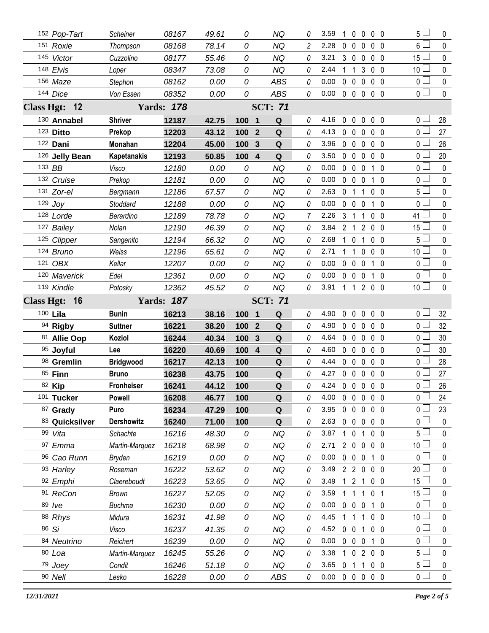|                   | 152 Pop-Tart       | Scheiner           | 08167             | 49.61         | 0                     | ΝQ               | 0        | 3.59         |                | $0\quad 0$                        | $0\quad 0$                   |     | 5 l                   | 0                        |
|-------------------|--------------------|--------------------|-------------------|---------------|-----------------------|------------------|----------|--------------|----------------|-----------------------------------|------------------------------|-----|-----------------------|--------------------------|
|                   | 151 Roxie          | Thompson           | 08168             | 78.14         | 0                     | <b>NQ</b>        | 2        | 2.28         | $0\quad 0$     | $\mathbf 0$                       | 0 <sub>0</sub>               |     | 6 L                   | 0                        |
|                   | 145 Victor         | Cuzzolino          | 08177             | 55.46         | 0                     | NQ               | 0        | 3.21         | 3 0            | $\overline{0}$                    | $0\quad 0$                   |     | 15 l                  | 0                        |
|                   | 148 Elvis          | Loper              | 08347             | 73.08         | 0                     | <b>NQ</b>        | 0        | 2.44         | 1              | 3<br>-1                           | 0 <sub>0</sub>               |     | 10 <sup>2</sup>       | 0                        |
|                   | 156 Maze           | Stephon            | 08162             | 0.00          | 0                     | <b>ABS</b>       | 0        | 0.00         | $0\quad 0$     | $\mathbf 0$                       | 0 <sub>0</sub>               |     | 0 l                   | 0                        |
|                   | 144 Dice           | Von Essen          | 08352             | 0.00          | 0                     | <b>ABS</b>       | 0        | 0.00         |                | $0\quad 0\quad 0\quad$            | $0\quad 0$                   |     | 0 <sub>1</sub>        | $\mathbf 0$              |
|                   | Class Hgt: 12      |                    | <b>Yards: 178</b> |               |                       | <b>SCT: 71</b>   |          |              |                |                                   |                              |     |                       |                          |
|                   | 130 Annabel        | <b>Shriver</b>     | 12187             | 42.75         | 100 1                 | Q                | 0        | 4.16         | $0\quad 0$     | $\mathbf 0$                       | $0\quad 0$                   |     | 0 L                   | 28                       |
|                   | 123 Ditto          | Prekop             | 12203             | 43.12         | $\overline{2}$<br>100 | Q                | 0        | 4.13         | $0\quad 0$     | $\overline{0}$                    | $0\quad 0$                   |     | o l                   | 27                       |
|                   | 122 Dani           | Monahan            | 12204             | 45.00         | 100<br>3              | Q                | 0        | 3.96         | $0\quad 0$     | $\mathbf 0$                       | $0\quad 0$                   |     | 0 l                   | 26                       |
|                   | 126 Jelly Bean     | <b>Kapetanakis</b> | 12193             | 50.85         | $\overline{4}$<br>100 | Q                | 0        | 3.50         | $0\quad 0$     | $\overline{0}$                    | $0\quad 0$                   |     | 0 L                   | 20                       |
|                   | 133 BB             | Visco              | 12180             | 0.00          | 0                     | NQ               | 0        | 0.00         | 0 <sub>0</sub> | 0                                 | 10                           |     | 0 l                   | 0                        |
|                   | 132 Cruise         | Prekop             | 12181             | 0.00          | 0                     | <b>NQ</b>        | 0        | 0.00         | $0\quad 0$     | $\mathbf 0$                       | $1\quad0$                    |     | 0 <sub>0</sub>        | 0                        |
|                   | 131 Zor-el         | Bergmann           | 12186             | 67.57         | 0                     | <b>NQ</b>        | 0        | 2.63         | 0              | $\overline{1}$<br>$\mathbf{1}$    | $0\quad 0$                   |     | 5 l                   | 0                        |
|                   | $129$ Joy          | Stoddard           | 12188             | 0.00          | 0                     | <b>NQ</b>        | $\theta$ | 0.00         | $\mathbf{0}$   | $\mathbf 0$<br>$\mathbf 0$        | $1\quad0$                    |     | 0 L                   | 0                        |
|                   | 128 Lorde          | Berardino          | 12189             | 78.78         | 0                     | NQ               | 7        | 2.26         | 3              | -1<br>1                           | $0\quad 0$                   |     | 41 <sup>1</sup>       | 0                        |
|                   | 127 Bailey         | Nolan              | 12190             | 46.39         | 0                     | <b>NQ</b>        | 0        | 3.84         | 2              | 2<br>$\overline{1}$               | 0 <sub>0</sub>               |     | 15 <sup>1</sup>       | 0                        |
|                   | 125 Clipper        | Sangenito          | 12194             | 66.32         | 0                     | <b>NQ</b>        | 0        | 2.68         | $1\quad0$      | 1                                 | $0\quad 0$                   |     | ا 5                   | 0                        |
|                   | 124 Bruno          | Weiss              | 12196             | 65.61         | 0                     | <b>NQ</b>        | 0        | 2.71         | 1              | 0<br>-1                           | 0 <sub>0</sub>               |     | 10 l                  | 0                        |
|                   | 121 OBX            | Kellar             | 12207             | 0.00          | 0                     | NQ               | 0        | 0.00         | $0\quad 0$     | $\mathbf{0}$                      | 1 0                          |     | 0 <sup>1</sup>        | 0                        |
|                   | 120 Maverick       | Edel               | 12361             | 0.00          | 0                     | <b>NQ</b>        | 0        | 0.00         | $0\quad 0$     | $\mathbf 0$                       | $1\quad 0$                   |     | 0 l                   | $\mathbf 0$              |
|                   | 119 Kindle         | Potosky            | 12362             | 45.52         | 0                     | <b>NQ</b>        | 0        | 3.91         |                | $1\quad1$                         | 2 0 0                        |     | 10 <sup>L</sup>       | 0                        |
| <b>Class Hgt:</b> | $-16$              |                    | <b>Yards: 187</b> |               |                       | <b>SCT: 71</b>   |          |              |                |                                   |                              |     |                       |                          |
|                   |                    |                    |                   |               |                       |                  |          |              |                |                                   |                              |     |                       |                          |
|                   | 100 Lila           | <b>Bunin</b>       | 16213             | 38.16         | 100 1                 | Q                | 0        | 4.90         | $\mathbf{0}$   | $\mathbf 0$<br>$\mathbf 0$        | 0 <sub>0</sub>               |     | 0 l                   | 32                       |
|                   | 94 Rigby           | <b>Suttner</b>     | 16221             | 38.20         | 100<br>$\mathbf{2}$   | Q                | 0        | 4.90         | $0\quad 0$     | 0                                 | 0                            | - 0 | 0 ∟                   | 32                       |
|                   | 81 Allie Oop       | Koziol             | 16244             | 40.34         | 100<br>3              | Q                | 0        | 4.64         | $0\quad 0$     | $\mathbf 0$                       | 0 <sub>0</sub>               |     | 0 L                   | 30                       |
|                   | 95 Joyful          | Lee                | 16220             | 40.69         | 100<br>$\overline{4}$ | Q                | 0        | 4.60         | $0\quad 0$     | $\mathbf{0}$                      | 0 <sub>0</sub>               |     | 0 l                   | 30                       |
|                   | 98 Gremlin         | <b>Bridgwood</b>   | 16217             | 42.13         | 100                   | Q                | 0        | 4.44         | $\mathbf 0$    | $\mathbf 0$<br>$\mathbf{0}$       | 0 <sub>0</sub>               |     | 0 l                   | 28                       |
|                   | 85 Finn            | <b>Bruno</b>       | 16238             | 43.75         | 100                   | $\mathbf Q$      | 0        | 4.27         |                | $0\quad 0\quad 0$                 | $0\quad 0$                   |     | 0                     | 27                       |
|                   | 82 Kip             | <b>Fronheiser</b>  | 16241             | 44.12         | 100                   | $\mathbf Q$      | 0        | 4.24         |                | 00000                             |                              |     | 0 <sub>1</sub>        | 26                       |
|                   | 101 Tucker         | <b>Powell</b>      | 16208             | 46.77         | 100                   | Q                | 0        | 4.00         |                | $0\quad 0\quad 0$                 | $0\quad 0$                   |     | 0 I                   | 24                       |
|                   | 87 Grady           | Puro               | 16234             | 47.29         | 100                   | ${\bf Q}$        | 0        | 3.95         |                | $0\quad 0\quad 0$                 | 0 <sub>0</sub>               |     | ΟL                    | 23                       |
|                   | 83 Quicksilver     | <b>Dershowitz</b>  | 16240             | 71.00         | 100                   | Q                | 0        | 2.63         |                | $0\quad 0\quad 0$                 | $0\quad 0$                   |     | 0 l                   | 0                        |
|                   | 99 Vita            | Schachte           | 16216             | 48.30         | 0                     | <b>NQ</b>        | 0        | 3.87         | 1              | $\mathbf 0$<br>1                  | 0 <sub>0</sub>               |     | 5 l                   | $\mathbf{0}$             |
|                   | 97 Emma            | Martin-Marquez     | 16218             | 68.98         | 0                     | NQ               | 0        | 2.71         |                | 200                               | $0\quad 0$                   |     | 10 <sup>1</sup>       | 0                        |
|                   | 96 Cao Runn        | Bryden             | 16219             | 0.00          | 0                     | <b>NQ</b>        | 0        | 0.00         |                | $0\quad 0\quad 0$                 | 1 0                          |     | $\overline{0}$        | $\mathbf{0}$             |
|                   | 93 Harley          | Roseman            | 16222             | 53.62         | 0                     | NQ               | 0        | 3.49         |                | 2 2 0                             | $0\quad 0$                   |     | 20 <sup>1</sup>       | 0                        |
|                   | 92 Emphi           | Claereboudt        | 16223             | 53.65         | 0                     | <b>NQ</b>        | 0        | 3.49         | $\mathbf{1}$   | $2^{\circ}$<br>$\mathbf{1}$       | $0\quad 0$                   |     | 15 <sup>1</sup>       | 0                        |
|                   | 91 ReCon           | <b>Brown</b>       | 16227             | 52.05         | 0                     | <b>NQ</b>        | 0        | 3.59         | 1.             | $\mathbf{1}$<br>$\mathbf{1}$      | 0 <sub>1</sub>               |     | 15 <sup>1</sup>       | 0                        |
|                   | 89 /ve             | <b>Buchma</b>      | 16230             | 0.00          | 0                     | <b>NQ</b>        | 0        | 0.00         | $0\quad 0$     | $\overline{0}$                    | 1 0                          |     | 0                     | $\mathbf{0}$             |
|                   | 88 Rhys            | Midura             | 16231             | 41.98         | 0                     | NQ               | 0        | 4.45         |                | $\mathbf 1$<br>1                  | $0\quad 0$                   |     | 10 <sup>1</sup>       | 0                        |
|                   | 86 Si              | Visco              | 16237             | 41.35         | 0                     | <b>NQ</b>        | 0        | 4.52         | $0\quad 0$     | 1                                 | $0\quad 0$                   |     | 0 l                   | 0                        |
|                   | 84 Neutrino        | Reichert           | 16239             | 0.00          | 0                     | NQ               | 0        | 0.00         |                | $0\quad 0\quad 0$                 | 1 0                          |     | 0                     | 0                        |
|                   | 80 Loa             | Martin-Marquez     | 16245             | 55.26         | 0                     | <b>NQ</b>        | 0        | 3.38         | $1\quad0$      |                                   | 200                          |     | 5 l                   | $\mathbf{0}$             |
|                   | 79 Joey<br>90 Nell | Condit<br>Lesko    | 16246<br>16228    | 51.18<br>0.00 | 0<br>0                | <b>NQ</b><br>ABS | 0<br>0   | 3.65<br>0.00 | 0 <sub>1</sub> | $\mathbf{1}$<br>$0\quad 0\quad 0$ | $0\quad 0$<br>0 <sub>0</sub> |     | 5 l<br>0 <sub>0</sub> | $\mathbf 0$<br>$\pmb{0}$ |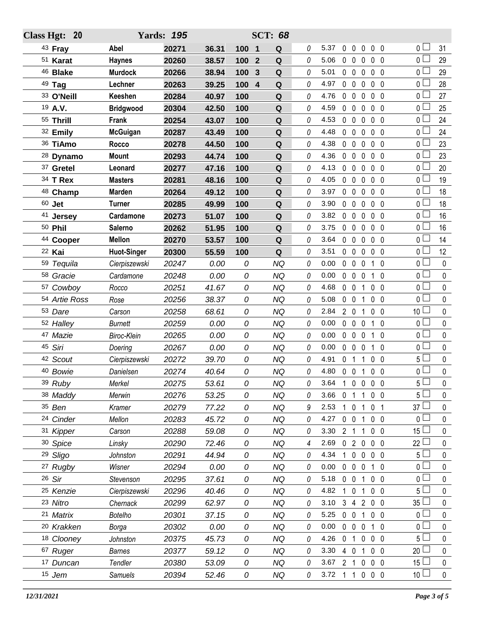| Class Hgt: 20         |                    | <b>Yards: 195</b> |       |                                | <b>SCT: 68</b> |          |                      |                                  |                                        |                 |              |
|-----------------------|--------------------|-------------------|-------|--------------------------------|----------------|----------|----------------------|----------------------------------|----------------------------------------|-----------------|--------------|
| <sup>43</sup> Fray    | Abel               | 20271             | 36.31 | 100 1                          | Q              | 0        | 5.37                 | $0\quad 0$                       | $0\quad 0\quad 0$                      | 0 l             | 31           |
| 51 Karat              | <b>Haynes</b>      | 20260             | 38.57 | $\overline{2}$<br>100          | Q              | 0        | 5.06                 | $0\quad 0\quad 0$                | 0 <sub>0</sub>                         | 0 L             | 29           |
| <sup>46</sup> Blake   | <b>Murdock</b>     | 20266             | 38.94 | 100<br>3                       | Q              | 0        | 5.01                 | $0\quad 0$<br>$\mathbf 0$        | 0 <sub>0</sub>                         | 0 l             | 29           |
| 49 Tag                | Lechner            | 20263             | 39.25 | 100<br>$\overline{\mathbf{4}}$ | Q              | 0        | 4.97                 | $0\quad 0$<br>$\mathbf 0$        | $0\quad 0$                             | o L             | 28           |
| 33 O'Neill            | Keeshen            | 20284             | 40.97 | 100                            | Q              | 0        | 4.76                 | $0\quad 0$<br>$\mathbf 0$        | $0\quad 0$                             | 0 l             | 27           |
| 19 A.V.               | <b>Bridgwood</b>   | 20304             | 42.50 | 100                            | ${\bf Q}$      | 0        | 4.59                 | $0\quad 0$<br>$\mathbf 0$        | 0 <sub>0</sub>                         | ΟL              | 25           |
| 55 Thrill             | Frank              | 20254             | 43.07 | 100                            | Q              | 0        | 4.53                 | $0\quad 0$<br>0                  | 0 <sub>0</sub>                         | 0 l             | 24           |
| 32 Emily              | <b>McGuigan</b>    | 20287             | 43.49 | 100                            | Q              | 0        | 4.48                 | $0\quad 0$<br>$\mathbf 0$        | 0 <sub>0</sub>                         | οl              | 24           |
| 36 TiAmo              | Rocco              | 20278             | 44.50 | 100                            | Q              | 0        | 4.38                 | $0\quad 0$<br>$\mathbf 0$        | $\mathbf 0$<br>- 0                     | 0 l             | 23           |
| 28 Dynamo             | <b>Mount</b>       | 20293             | 44.74 | 100                            | Q              | 0        | 4.36                 | $0\quad 0$<br>$\mathbf 0$        | 0 <sub>0</sub>                         | 0 l             | 23           |
| 37 Gretel             | Leonard            | 20277             | 47.16 | 100                            | Q              | 0        | 4.13                 | 0 <sub>0</sub><br>0              | 0 <sub>0</sub>                         | 0 l             | 20           |
| 34 T Rex              | <b>Masters</b>     | 20281             | 48.16 | 100                            | Q              | $\theta$ | 4.05<br>$\mathbf 0$  | $\overline{0}$<br>$\mathbf 0$    | 0 <sub>0</sub>                         | $0-$            | 19           |
| 48 Champ              | <b>Marden</b>      | 20264             | 49.12 | 100                            | Q              | 0        | 3.97                 | $0\quad 0$<br>$\mathbf 0$        | 0 <sub>0</sub>                         | 0 l             | 18           |
| $60$ Jet              | <b>Turner</b>      | 20285             | 49.99 | 100                            | Q              | 0        | 3.90<br>$\mathbf{0}$ | $\mathbf 0$<br>$\mathbf 0$       | $\mathbf 0$<br>0                       | 0 L             | 18           |
| 41 Jersey             | Cardamone          | 20273             | 51.07 | 100                            | Q              | 0        | 3.82<br>0            | $\overline{0}$<br>$\mathbf{0}$   | 0 <sub>0</sub>                         | 0 l             | 16           |
| 50 Phil               | Salerno            | 20262             | 51.95 | 100                            | $\mathbf Q$    | 0        | 3.75<br>$\mathbf{0}$ | $\mathbf 0$<br>$\mathbf 0$       | 0 <sub>0</sub>                         | 0 l             | 16           |
| 44 Cooper             | <b>Mellon</b>      | 20270             | 53.57 | 100                            | Q              | 0        | 3.64                 | $0\quad 0$<br>$\mathbf 0$        | $\mathbf 0$<br>- 0                     | 0 l             | 14           |
| 22 Kai                | <b>Huot-Singer</b> | 20300             | 55.59 | 100                            | Q              | 0        | 3.51                 | $0\quad 0$<br>$\mathbf 0$        | $\mathbf 0$<br>0                       | o L             | 12           |
| 59 Tequila            | Cierpiszewski      | 20247             | 0.00  | 0                              | <b>NQ</b>      | 0        | 0.00                 | $0\quad 0$<br>0                  | 1 0                                    | ΟL              | 0            |
| 58 Gracie             | Cardamone          | 20248             | 0.00  | 0                              | <b>NQ</b>      | 0        | 0.00<br>$\mathbf 0$  | $\mathbf 0$<br>0                 | $1\quad0$                              | 0 l             | 0            |
| 57 Cowboy             | Rocco              | 20251             | 41.67 | 0                              | <b>NQ</b>      | 0        | 4.68                 | $0\quad 0$<br>1                  | 0<br>-0                                | 0 l             | 0            |
| 54 Artie Ross         | Rose               | 20256             | 38.37 | 0                              | <b>NQ</b>      | 0        | 5.08                 | $0\quad 0$<br>1                  | 0 <sub>0</sub>                         | 0 <sub>0</sub>  | $\mathbf 0$  |
| 53 Dare               | Carson             | 20258             | 68.61 | 0                              | <b>NQ</b>      | 0        | 2.84                 | $2\quad0$<br>1                   | 0 <sub>0</sub>                         | 10 <sup>L</sup> | 0            |
| 52 Halley             | <b>Burnett</b>     | 20259             | 0.00  | 0                              | <b>NQ</b>      | 0        | 0.00<br>$\mathbf 0$  | $\mathbf 0$<br>$\mathbf 0$       | $1\quad0$                              | 0 <sub>0</sub>  | 0            |
| 47 Mazie              | Biroc-Klein        | 20265             | 0.00  | 0                              | <b>NQ</b>      | 0        | 0.00                 | $0\quad 0$<br>$\mathbf 0$        | $\overline{1}$<br>- 0                  | 0 l             | 0            |
| 45 Siri               | Doering            | 20267             | 0.00  | 0                              | <b>NQ</b>      | 0        | 0.00                 | $0\quad 0$<br>$\overline{0}$     | $1\quad0$                              | 0 l             | 0            |
| 42 Scout              | Cierpiszewski      | 20272             | 39.70 | 0                              | NQ             | 0        | 4.91<br>0            | -1<br>1                          | 0<br>- 0                               | ا 5             | 0            |
| 40 Bowie              | Danielsen          | 20274             | 40.64 | 0                              | <b>NQ</b>      | $\Omega$ | 4.80                 | 0 <sub>0</sub><br>$\mathbf{1}$   | 0 <sub>0</sub>                         | 0 l             | $\mathbf 0$  |
| 39 Ruby               | Merkel             | 20275             | 53.61 | 0                              | NQ             | 0        | 3.64                 | 1 0 0                            | $\mathbf 0$<br>$\overline{\mathbf{0}}$ | 5               | 0            |
| 38 Maddy              | Merwin             | 20276             | 53.25 | 0                              | <b>NQ</b>      | 0        | 3.66                 | 0 <sub>1</sub><br>$\overline{1}$ | $0\quad 0$                             | 5 L             | $\mathbf{0}$ |
| 35 Ben                | Kramer             | 20279             | 77.22 | 0                              | <b>NQ</b>      | 9        | 2.53<br>$\mathbf{1}$ | $\overline{0}$<br>1              | 0 <sub>1</sub>                         | 37 <sup>1</sup> | 0            |
| 24 Cinder             | Mellon             | 20283             | 45.72 | 0                              | <b>NQ</b>      | 0        | 4.27                 | $0\quad 0$<br>1                  | 0 <sub>0</sub>                         | 0 l             | 0            |
| 31 Kipper             | Carson             | 20288             | 59.08 | 0                              | NQ             | 0        | 3.30                 | 2 <sub>1</sub>                   | $0\quad 0$                             | 15 <sup>1</sup> | 0            |
| 30 Spice              | Linsky             | 20290             | 72.46 | 0                              | NQ             | 4        | 2.69                 | 020                              | $0\quad 0$                             | 22 <sup>°</sup> | 0            |
| 29 Sligo              | Johnston           | 20291             | 44.94 | 0                              | <b>NQ</b>      | 0        | 4.34<br>$\mathbf{1}$ | $0\quad 0$                       | $0\quad 0$                             | 5 l             | 0            |
| 27 Rugby              | Wisner             | 20294             | 0.00  | 0                              | <b>NQ</b>      | 0        | 0.00                 | $0\quad 0$<br>$\overline{0}$     | 1 0                                    | 0 l             | $\mathbf{0}$ |
| 26 Sir                | Stevenson          | 20295             | 37.61 | 0                              | NQ             | 0        | 5.18                 | $0\quad 0$<br>1                  | $0\quad 0$                             | $\overline{0}$  | 0            |
| 25 Kenzie             | Cierpiszewski      | 20296             | 40.46 | 0                              | <b>NQ</b>      | 0        | 4.82                 | 0<br>1                           | $0\quad 0$                             | 5 <sup>1</sup>  | 0            |
| 23 Nitro              | Chernack           | 20299             | 62.97 | 0                              | NQ             | 0        | 3.10                 | 3 4 2                            | $0\quad 0$                             | 35 <sup>1</sup> | 0            |
| 21 Matrix             | Botelho            | 20301             | 37.15 | 0                              | <b>NQ</b>      | 0        | 5.25                 | $0\quad 0$<br>1                  | 0 <sub>0</sub>                         | 0 l             | 0            |
| <sup>20</sup> Krakken | Borga              | 20302             | 0.00  | 0                              | NQ             | 0        | 0.00                 | $0\quad 0$<br>$\overline{0}$     | $1\quad0$                              | 0 I             | 0            |
| 18 Clooney            | Johnston           | 20375             | 45.73 | 0                              | <b>NQ</b>      | 0        | 4.26                 | 0 <sub>1</sub><br>$\mathbf 0$    | 0 <sub>0</sub>                         | 5 l             | $\mathbf{0}$ |
| <sup>67</sup> Ruger   | <b>Barnes</b>      | 20377             | 59.12 | 0                              | <b>NQ</b>      | 0        | 3.30                 | 4 0<br>1                         | $0\quad 0$                             | 20 <sup>1</sup> | 0            |
| 17 Duncan             | Tendler            | 20380             | 53.09 | 0                              | <b>NQ</b>      | 0        | 3.67                 | 2 <sub>1</sub><br>$\pmb{0}$      | 0 <sub>0</sub>                         | 15 <sup>1</sup> | 0            |
| 15 Jem                | Samuels            | 20394             | 52.46 | 0                              | NQ             | 0        | 3.72                 |                                  | 1 1 0 0 0                              | 10 <sup>2</sup> | $\pmb{0}$    |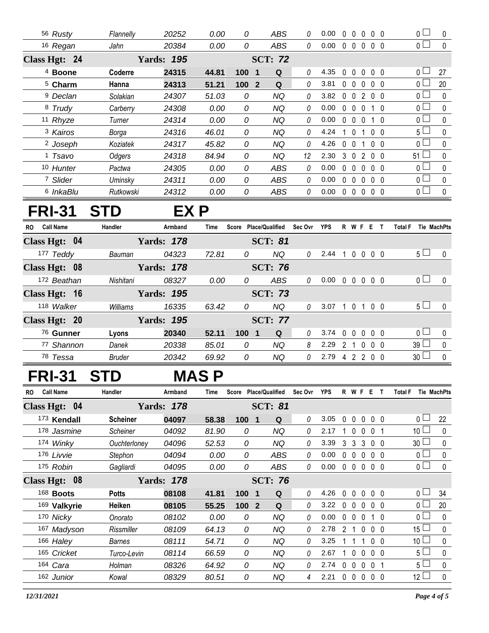| 56 Rusty            | Flannelly              | 20252             | 0.00  | 0   | ABS                 | 0  | 0.00 | $\Omega$ | $\Box$       | $\Omega$     | $0\quad 0$     | 0 <sub>L</sub> | 0            |
|---------------------|------------------------|-------------------|-------|-----|---------------------|----|------|----------|--------------|--------------|----------------|----------------|--------------|
| 16 Regan            | Jahn                   | 20384             | 0.00  | 0   | <b>ABS</b>          | 0  | 0.00 | 0        | $\mathbf{0}$ | $\mathbf 0$  | $0\quad 0$     | 0 <sub>0</sub> | $\mathbf{0}$ |
| Class Hgt: 24       |                        | <b>Yards: 195</b> |       |     | <b>SCT: 72</b>      |    |      |          |              |              |                |                |              |
| <sup>4</sup> Boone  | Coderre                | 24315             | 44.81 | 100 | Q<br>1              | 0  | 4.35 | $\Omega$ | <sup>0</sup> | $\mathsf{O}$ | $0\quad 0$     | $\Omega$       | 27           |
| <sup>5</sup> Charm  | Hanna                  | 24313             | 51.21 | 100 | Q<br>$\overline{2}$ | 0  | 3.81 | $\Omega$ | $\Omega$     | $\Omega$     | $0\quad 0$     | 0 L            | 20           |
| <sup>9</sup> Declan | Solakian               | 24307             | 51.03 | 0   | ΝQ                  | 0  | 3.82 | 0        | $\Omega$     | 2            | $0\quad 0$     | 0 <sub>0</sub> | $\Omega$     |
| 8 Trudy             | Carberry               | 24308             | 0.00  | 0   | ΝQ                  | 0  | 0.00 | $\Omega$ | $\Omega$     | <sup>0</sup> | 1 <sub>0</sub> | 0 L            | $\Omega$     |
| 11 Rhyze            | Turner                 | 24314             | 0.00  | 0   | ΝQ                  | 0  | 0.00 | $\Omega$ | $\Omega$     | $\Omega$     | 1 0            | $0-$           | $\Omega$     |
| <sup>3</sup> Kairos | Borga                  | 24316             | 46.01 | 0   | ΝQ                  | 0  | 4.24 |          | $\Omega$     |              | $0\quad 0$     | 5 <sup>L</sup> | $\Omega$     |
| <sup>2</sup> Joseph | Koziatek               | 24317             | 45.82 | 0   | ΝQ                  | 0  | 4.26 | $\Omega$ | $\cup$       |              | 0 <sub>0</sub> | 0 L            | $\Omega$     |
| <sup>1</sup> Tsavo  | Odgers                 | 24318             | 84.94 | 0   | ΝQ                  | 12 | 2.30 | 3        | $\Omega$     | 2            | 0 0            | $51 -$         | $\Omega$     |
| 10 Hunter           | Pactwa                 | 24305             | 0.00  | 0   | ABS                 | 0  | 0.00 | $\Omega$ | $\mathsf{O}$ | $\Omega$     | $0\quad 0$     | 0 <sup>1</sup> | $\Omega$     |
| 7 Slider            | Uminsky                | 24311             | 0.00  | 0   | ABS                 | 0  | 0.00 | $\Omega$ | $\cup$       | $\Omega$     | 0 <sub>0</sub> | 0 <sup>L</sup> | $\Omega$     |
|                     | 6 InkaBlu<br>Rutkowski | 24312             | 0.00  | 0   | <b>ABS</b>          | 0  | 0.00 | 0        | $\Omega$     | $\bf{0}$     | 0 <sub>0</sub> | 0 <sub>0</sub> | $\Omega$     |

## **FRI-31 STD EX P**

| <b>Call Name</b><br>RO. | Handler<br>Armband | Time  | Score            | <b>Place/Qualified</b> | Sec Ovr  | <b>YPS</b> | R.       | W F      |          | Е                 | <b>Total F</b> |                       | <b>Tie MachPts</b> |
|-------------------------|--------------------|-------|------------------|------------------------|----------|------------|----------|----------|----------|-------------------|----------------|-----------------------|--------------------|
| Class Hgt: 04           | <b>Yards: 178</b>  |       | <b>SCT: 81</b>   |                        |          |            |          |          |          |                   |                |                       |                    |
| 177 Teddy               | 04323<br>Bauman    | 72.81 | 0                | ΝQ                     | 0        | 2.44       |          | 0        | $\Omega$ | $0\quad 0$        |                | 5 <sub>1</sub>        | $\Omega$           |
| Class Hgt: 08           | <b>Yards: 178</b>  |       |                  | <b>SCT: 76</b>         |          |            |          |          |          |                   |                |                       |                    |
| 172 Beathan             | Nishitani<br>08327 | 0.00  | 0                | ABS                    | 0        | 0.00       | $\Omega$ | $\Omega$ | $\Omega$ | $0\quad 0$        |                | 0 <sub>1</sub>        |                    |
| Class Hgt: 16           | <b>Yards: 195</b>  |       |                  | <b>SCT: 73</b>         |          |            |          |          |          |                   |                |                       |                    |
| 118 Walker              | Williams<br>16335  | 63.42 | 0                | NQ.                    | $\theta$ | 3.07       |          | $\Omega$ |          | 100               |                | 5 <sub>1</sub>        | $\Omega$           |
| Class Hgt: 20           | <b>Yards: 195</b>  |       |                  | <b>SCT: 77</b>         |          |            |          |          |          |                   |                |                       |                    |
| 76 Gunner               | Lyons<br>20340     | 52.11 | 100 <sub>1</sub> | Q                      | $\Omega$ | 3.74       | $\Omega$ | $\Omega$ |          | $0\quad 0\quad 0$ |                | $\overline{0}$ $\Box$ | $\Omega$           |
| 77 Shannon              | 20338<br>Danek     | 85.01 | 0                | NQ                     | 8        | 2.29       | 2        |          | $\Omega$ | 0 <sub>0</sub>    |                | 39                    | $\Omega$           |
| <sup>78</sup> Tessa     | 20342<br>Bruder    | 69.92 | 0                | NQ                     | 0        | 2.79       | 4        | 2        | 2        | 00                |                | 30 <sup>°</sup>       | $\Omega$           |

## **FRI-31 STD MAS P**

| <b>Call Name</b><br><b>RO</b> | <b>Handler</b>  | Armband           | Time  | Score                          | <b>Place/Qualified</b> | Sec Ovr  | <b>YPS</b> | R              | W F          |                | Е              |          | <b>Total F</b><br>Tie MachPts |
|-------------------------------|-----------------|-------------------|-------|--------------------------------|------------------------|----------|------------|----------------|--------------|----------------|----------------|----------|-------------------------------|
| Class Hgt: 04                 |                 | <b>Yards: 178</b> |       |                                | <b>SCT: 81</b>         |          |            |                |              |                |                |          |                               |
| 173 Kendall                   | <b>Scheiner</b> | 04097             | 58.38 | 100<br>$\blacksquare$          | Q                      | 0        | 3.05       | $\Omega$       | $\mathbf{0}$ | $\mathbf{0}$   | $0\quad 0$     |          | 22<br>0 <sub>0</sub>          |
| 178 Jasmine                   | <b>Scheiner</b> | 04092             | 81.90 | 0                              | ΝQ                     | 0        | 2.17       |                | $\Omega$     | $\mathbf{0}$   | $\Omega$       |          | 10 <sup>°</sup><br>$\Omega$   |
| 174 Winky                     | Ouchterloney    | 04096             | 52.53 | 0                              | ΝQ                     | 0        | 3.39       | 3              | 3            | 3              | 0 <sub>0</sub> |          | 30 <sup>°</sup><br>$\Omega$   |
| 176 Livvie                    | Stephon         | 04094             | 0.00  | 0                              | ABS                    | 0        | 0.00       | $\Omega$       | $\theta$     | $\mathbf{0}$   | $0\quad 0$     |          | 0 L<br>0                      |
| 175 Robin                     | Gagliardi       | 04095             | 0.00  | 0                              | ABS                    | 0        | 0.00       | $\mathbf{0}$   | $\Omega$     | $\Omega$       | $0\quad 0$     |          | 0 <sub>1</sub><br>$\Omega$    |
| Class Hgt: 08                 |                 | <b>Yards: 178</b> |       |                                | <b>SCT: 76</b>         |          |            |                |              |                |                |          |                               |
| 168 Boots                     | <b>Potts</b>    | 08108             | 41.81 | 100<br>$\overline{\mathbf{1}}$ | Q                      | $\theta$ | 4.26       | $\Omega$       | $\mathsf{O}$ | $\Omega$       | 0 0            |          | 0 <sup>1</sup><br>34          |
| 169 Valkyrie                  | Heiken          | 08105             | 55.25 | 100 2                          | Q                      | 0        | 3.22       | $\cup$         | $\Omega$     | $\Omega$       | 0 O            |          | 20<br>n l                     |
| 170 Nicky                     | Onorato         | 08102             | 0.00  | 0                              | ΝQ                     | $\theta$ | 0.00       | $\Omega$       | $\Omega$     | $\Omega$       |                | - 0      | 0 <sup>1</sup><br>$\mathbf 0$ |
| 167 Madyson                   | Rissmiller      | 08109             | 64.13 | 0                              | ΝQ                     | 0        | 2.78       | $\mathfrak{D}$ |              | $\Omega$       | 0 0            |          | 15<br>0                       |
| 166 Haley                     | Barnes          | 08111             | 54.71 | 0                              | ΝQ                     | 0        | 3.25       |                |              |                | $\Omega$       | $\Omega$ | 10 <sup>°</sup><br>0          |
| 165 Cricket                   | Turco-Levin     | 08114             | 66.59 | 0                              | ΝQ                     | 0        | 2.67       |                | 0            | $\overline{0}$ | 0 0            |          | 0<br>$5^{\perp}$              |
| 164 Cara                      | Holman          | 08326             | 64.92 | 0                              | NQ                     | 0        | 2.74       | $\Omega$       | $\Omega$     | $\mathbf{0}$   | - 0            |          | $5^{\perp}$<br>0              |
| 162 Junior                    | Kowal           | 08329             | 80.51 | 0                              | ΝQ                     | 4        | 2.21       | 0              | $\Omega$     | $\mathbf{0}$   | $0\quad 0$     |          | 12 <sup>2</sup><br>0          |